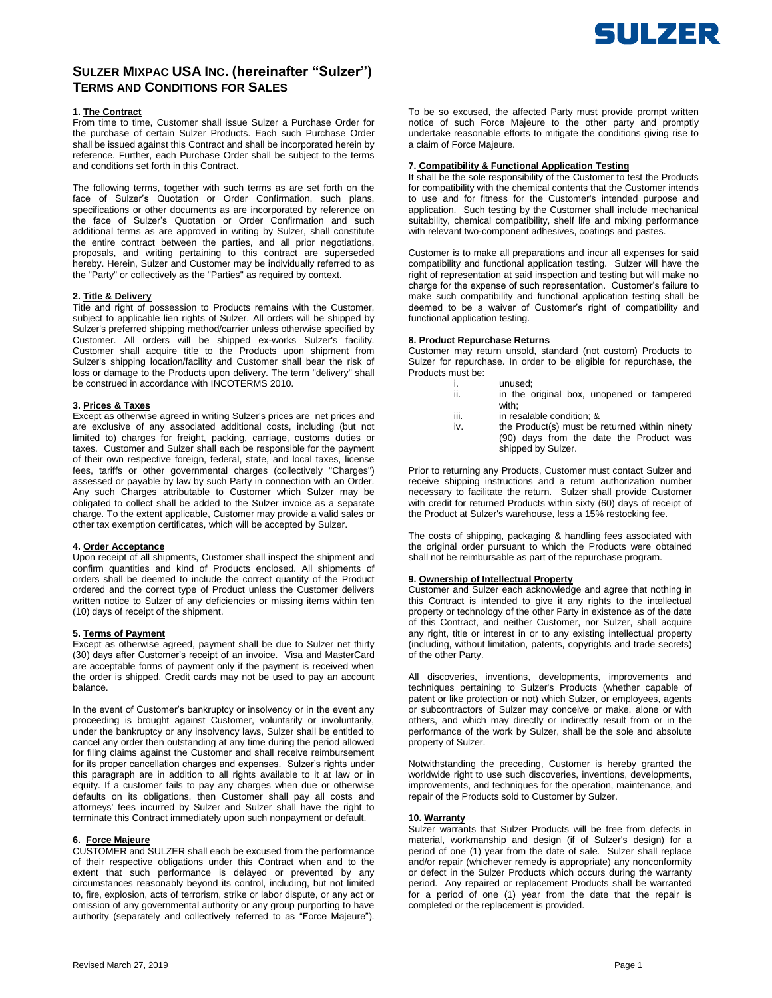

# **SULZER MIXPAC USA INC. (hereinafter "Sulzer") TERMS AND CONDITIONS FOR SALES**

# **1. The Contract**

From time to time, Customer shall issue Sulzer a Purchase Order for the purchase of certain Sulzer Products. Each such Purchase Order shall be issued against this Contract and shall be incorporated herein by reference. Further, each Purchase Order shall be subject to the terms and conditions set forth in this Contract.

The following terms, together with such terms as are set forth on the face of Sulzer's Quotation or Order Confirmation, such plans, specifications or other documents as are incorporated by reference on the face of Sulzer's Quotation or Order Confirmation and such additional terms as are approved in writing by Sulzer, shall constitute the entire contract between the parties, and all prior negotiations, proposals, and writing pertaining to this contract are superseded hereby. Herein, Sulzer and Customer may be individually referred to as the "Party" or collectively as the "Parties" as required by context.

# **2. Title & Delivery**

Title and right of possession to Products remains with the Customer, subject to applicable lien rights of Sulzer. All orders will be shipped by Sulzer's preferred shipping method/carrier unless otherwise specified by Customer. All orders will be shipped ex-works Sulzer's facility. Customer shall acquire title to the Products upon shipment from Sulzer's shipping location/facility and Customer shall bear the risk of loss or damage to the Products upon delivery. The term "delivery" shall be construed in accordance with INCOTERMS 2010.

#### **3. Prices & Taxes**

Except as otherwise agreed in writing Sulzer's prices are net prices and are exclusive of any associated additional costs, including (but not limited to) charges for freight, packing, carriage, customs duties or taxes. Customer and Sulzer shall each be responsible for the payment of their own respective foreign, federal, state, and local taxes, license fees, tariffs or other governmental charges (collectively "Charges") assessed or payable by law by such Party in connection with an Order. Any such Charges attributable to Customer which Sulzer may be obligated to collect shall be added to the Sulzer invoice as a separate charge. To the extent applicable, Customer may provide a valid sales or other tax exemption certificates, which will be accepted by Sulzer.

# **4. Order Acceptance**

Upon receipt of all shipments, Customer shall inspect the shipment and confirm quantities and kind of Products enclosed. All shipments of orders shall be deemed to include the correct quantity of the Product ordered and the correct type of Product unless the Customer delivers written notice to Sulzer of any deficiencies or missing items within ten (10) days of receipt of the shipment.

#### **5. Terms of Payment**

Except as otherwise agreed, payment shall be due to Sulzer net thirty (30) days after Customer's receipt of an invoice. Visa and MasterCard are acceptable forms of payment only if the payment is received when the order is shipped. Credit cards may not be used to pay an account balance.

In the event of Customer's bankruptcy or insolvency or in the event any proceeding is brought against Customer, voluntarily or involuntarily, under the bankruptcy or any insolvency laws, Sulzer shall be entitled to cancel any order then outstanding at any time during the period allowed for filing claims against the Customer and shall receive reimbursement for its proper cancellation charges and expenses. Sulzer's rights under this paragraph are in addition to all rights available to it at law or in equity. If a customer fails to pay any charges when due or otherwise defaults on its obligations, then Customer shall pay all costs and attorneys' fees incurred by Sulzer and Sulzer shall have the right to terminate this Contract immediately upon such nonpayment or default.

# **6. Force Majeure**

CUSTOMER and SULZER shall each be excused from the performance of their respective obligations under this Contract when and to the extent that such performance is delayed or prevented by any circumstances reasonably beyond its control, including, but not limited to, fire, explosion, acts of terrorism, strike or labor dispute, or any act or omission of any governmental authority or any group purporting to have authority (separately and collectively referred to as "Force Majeure").

To be so excused, the affected Party must provide prompt written notice of such Force Majeure to the other party and promptly undertake reasonable efforts to mitigate the conditions giving rise to a claim of Force Majeure.

### **7. Compatibility & Functional Application Testing**

It shall be the sole responsibility of the Customer to test the Products for compatibility with the chemical contents that the Customer intends to use and for fitness for the Customer's intended purpose and application. Such testing by the Customer shall include mechanical suitability, chemical compatibility, shelf life and mixing performance with relevant two-component adhesives, coatings and pastes.

Customer is to make all preparations and incur all expenses for said compatibility and functional application testing. Sulzer will have the right of representation at said inspection and testing but will make no charge for the expense of such representation. Customer's failure to make such compatibility and functional application testing shall be deemed to be a waiver of Customer's right of compatibility and functional application testing.

#### **8. Product Repurchase Returns**

Customer may return unsold, standard (not custom) Products to Sulzer for repurchase. In order to be eligible for repurchase, the Products must be:

- 
- i. unused;<br>ii. in the c in the original box, unopened or tampered with;
- iii. in resalable condition; &
- iv. the Product(s) must be returned within ninety (90) days from the date the Product was shipped by Sulzer.

Prior to returning any Products, Customer must contact Sulzer and receive shipping instructions and a return authorization number necessary to facilitate the return. Sulzer shall provide Customer with credit for returned Products within sixty (60) days of receipt of the Product at Sulzer's warehouse, less a 15% restocking fee.

The costs of shipping, packaging & handling fees associated with the original order pursuant to which the Products were obtained shall not be reimbursable as part of the repurchase program.

#### **9. Ownership of Intellectual Property**

Customer and Sulzer each acknowledge and agree that nothing in this Contract is intended to give it any rights to the intellectual property or technology of the other Party in existence as of the date of this Contract, and neither Customer, nor Sulzer, shall acquire any right, title or interest in or to any existing intellectual property (including, without limitation, patents, copyrights and trade secrets) of the other Party.

All discoveries, inventions, developments, improvements and techniques pertaining to Sulzer's Products (whether capable of patent or like protection or not) which Sulzer, or employees, agents or subcontractors of Sulzer may conceive or make, alone or with others, and which may directly or indirectly result from or in the performance of the work by Sulzer, shall be the sole and absolute property of Sulzer.

Notwithstanding the preceding, Customer is hereby granted the worldwide right to use such discoveries, inventions, developments, improvements, and techniques for the operation, maintenance, and repair of the Products sold to Customer by Sulzer.

#### **10. Warranty**

Sulzer warrants that Sulzer Products will be free from defects in material, workmanship and design (if of Sulzer's design) for a period of one (1) year from the date of sale. Sulzer shall replace and/or repair (whichever remedy is appropriate) any nonconformity or defect in the Sulzer Products which occurs during the warranty period. Any repaired or replacement Products shall be warranted for a period of one (1) year from the date that the repair is completed or the replacement is provided.